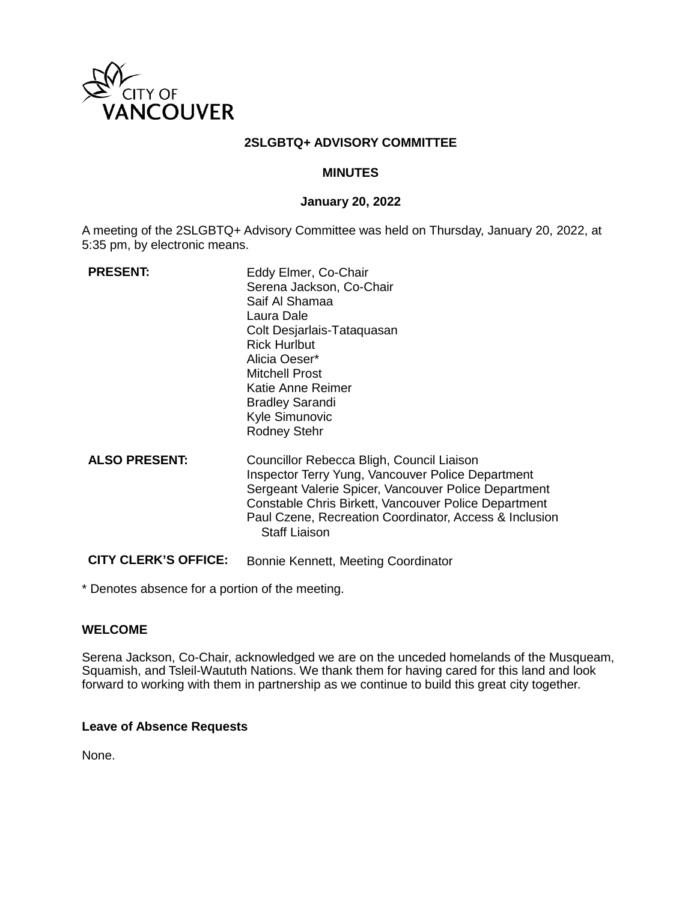

#### **2SLGBTQ+ ADVISORY COMMITTEE**

#### **MINUTES**

#### **January 20, 2022**

A meeting of the 2SLGBTQ+ Advisory Committee was held on Thursday, January 20, 2022, at 5:35 pm, by electronic means.

| <b>PRESENT:</b>             | Eddy Elmer, Co-Chair<br>Serena Jackson, Co-Chair<br>Saif Al Shamaa<br>Laura Dale<br>Colt Desjarlais-Tataquasan<br><b>Rick Hurlbut</b><br>Alicia Oeser*<br><b>Mitchell Prost</b><br>Katie Anne Reimer<br><b>Bradley Sarandi</b><br>Kyle Simunovic<br><b>Rodney Stehr</b>                          |
|-----------------------------|--------------------------------------------------------------------------------------------------------------------------------------------------------------------------------------------------------------------------------------------------------------------------------------------------|
| <b>ALSO PRESENT:</b>        | Councillor Rebecca Bligh, Council Liaison<br>Inspector Terry Yung, Vancouver Police Department<br>Sergeant Valerie Spicer, Vancouver Police Department<br>Constable Chris Birkett, Vancouver Police Department<br>Paul Czene, Recreation Coordinator, Access & Inclusion<br><b>Staff Liaison</b> |
| <b>CITY CLERK'S OFFICE:</b> | Bonnie Kennett, Meeting Coordinator                                                                                                                                                                                                                                                              |

\* Denotes absence for a portion of the meeting.

#### **WELCOME**

Serena Jackson, Co-Chair, acknowledged we are on the unceded homelands of the Musqueam, Squamish, and Tsleil-Waututh Nations. We thank them for having cared for this land and look forward to working with them in partnership as we continue to build this great city together.

#### **Leave of Absence Requests**

None.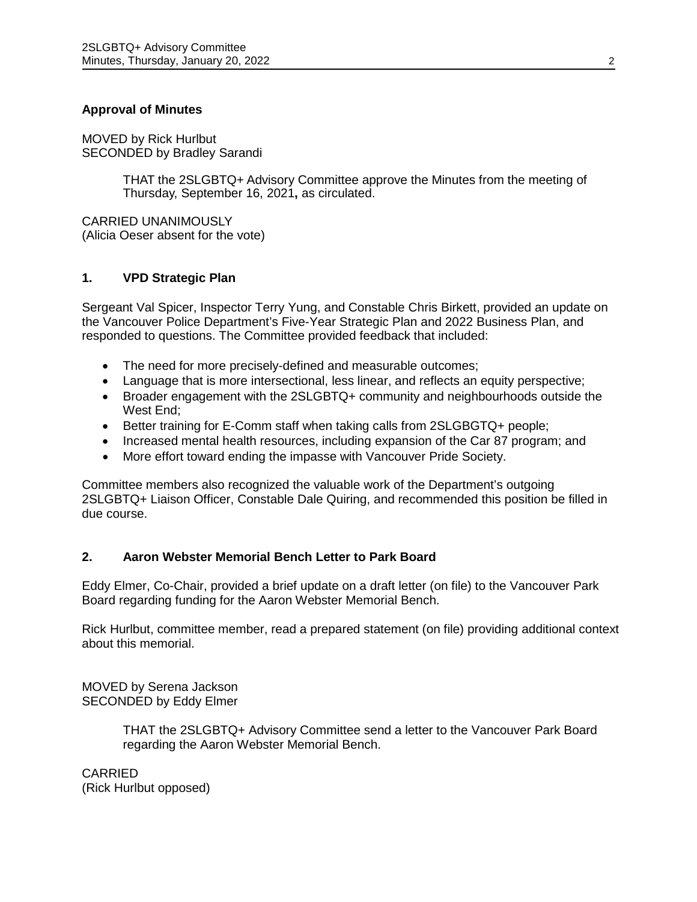## **Approval of Minutes**

MOVED by Rick Hurlbut SECONDED by Bradley Sarandi

> THAT the 2SLGBTQ+ Advisory Committee approve the Minutes from the meeting of Thursday, September 16, 2021**,** as circulated.

CARRIED UNANIMOUSLY (Alicia Oeser absent for the vote)

#### **1. VPD Strategic Plan**

Sergeant Val Spicer, Inspector Terry Yung, and Constable Chris Birkett, provided an update on the Vancouver Police Department's Five-Year Strategic Plan and 2022 Business Plan, and responded to questions. The Committee provided feedback that included:

- The need for more precisely-defined and measurable outcomes;
- Language that is more intersectional, less linear, and reflects an equity perspective;
- Broader engagement with the 2SLGBTQ+ community and neighbourhoods outside the West End;
- Better training for E-Comm staff when taking calls from 2SLGBGTQ+ people;
- Increased mental health resources, including expansion of the Car 87 program; and
- More effort toward ending the impasse with Vancouver Pride Society.

Committee members also recognized the valuable work of the Department's outgoing 2SLGBTQ+ Liaison Officer, Constable Dale Quiring, and recommended this position be filled in due course.

#### **2. Aaron Webster Memorial Bench Letter to Park Board**

Eddy Elmer, Co-Chair, provided a brief update on a draft letter (on file) to the Vancouver Park Board regarding funding for the Aaron Webster Memorial Bench.

Rick Hurlbut, committee member, read a prepared statement (on file) providing additional context about this memorial.

MOVED by Serena Jackson SECONDED by Eddy Elmer

> THAT the 2SLGBTQ+ Advisory Committee send a letter to the Vancouver Park Board regarding the Aaron Webster Memorial Bench.

CARRIED (Rick Hurlbut opposed)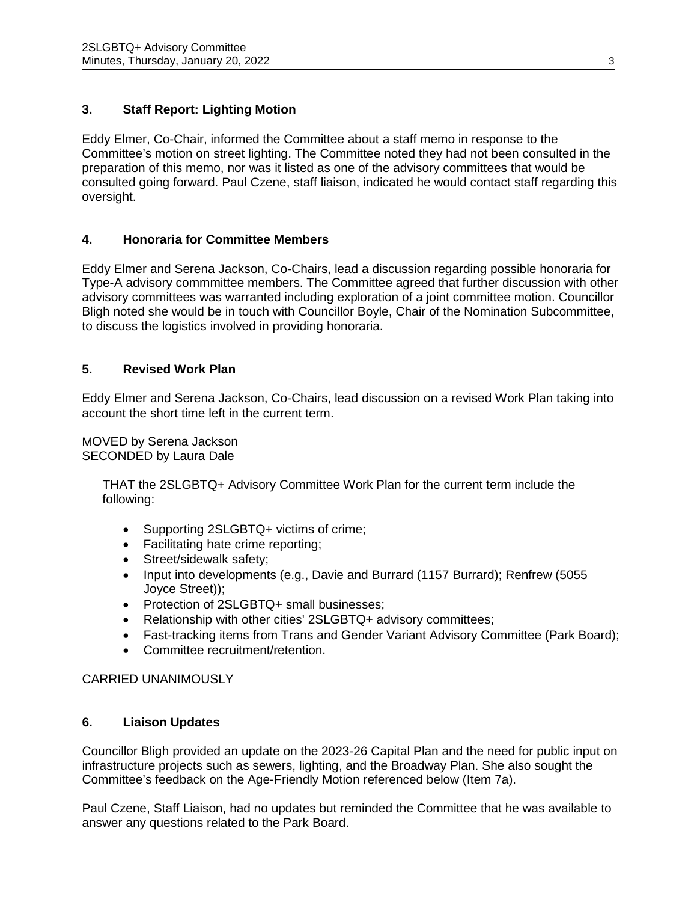# **3. Staff Report: Lighting Motion**

Eddy Elmer, Co-Chair, informed the Committee about a staff memo in response to the Committee's motion on street lighting. The Committee noted they had not been consulted in the preparation of this memo, nor was it listed as one of the advisory committees that would be consulted going forward. Paul Czene, staff liaison, indicated he would contact staff regarding this oversight.

#### **4. Honoraria for Committee Members**

Eddy Elmer and Serena Jackson, Co-Chairs, lead a discussion regarding possible honoraria for Type-A advisory commmittee members. The Committee agreed that further discussion with other advisory committees was warranted including exploration of a joint committee motion. Councillor Bligh noted she would be in touch with Councillor Boyle, Chair of the Nomination Subcommittee, to discuss the logistics involved in providing honoraria.

# **5. Revised Work Plan**

Eddy Elmer and Serena Jackson, Co-Chairs, lead discussion on a revised Work Plan taking into account the short time left in the current term.

MOVED by Serena Jackson SECONDED by Laura Dale

> THAT the 2SLGBTQ+ Advisory Committee Work Plan for the current term include the following:

- Supporting 2SLGBTQ+ victims of crime;
- Facilitating hate crime reporting;
- Street/sidewalk safety;
- Input into developments (e.g., Davie and Burrard (1157 Burrard); Renfrew (5055 Joyce Street));
- Protection of 2SLGBTQ+ small businesses;
- Relationship with other cities' 2SLGBTQ+ advisory committees;
- Fast-tracking items from Trans and Gender Variant Advisory Committee (Park Board);
- Committee recruitment/retention.

### CARRIED UNANIMOUSLY

### **6. Liaison Updates**

Councillor Bligh provided an update on the 2023-26 Capital Plan and the need for public input on infrastructure projects such as sewers, lighting, and the Broadway Plan. She also sought the Committee's feedback on the Age-Friendly Motion referenced below (Item 7a).

Paul Czene, Staff Liaison, had no updates but reminded the Committee that he was available to answer any questions related to the Park Board.